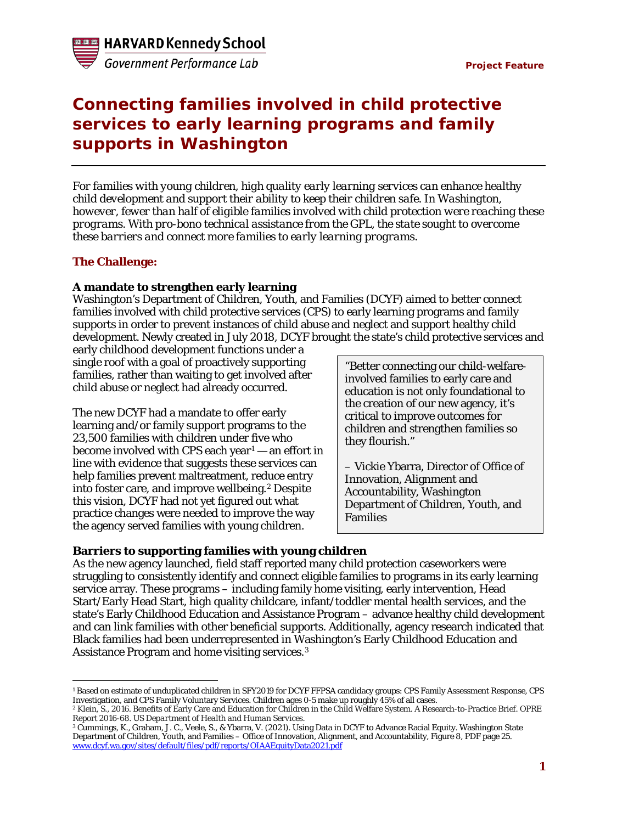

# **Connecting families involved in child protective services to early learning programs and family supports in Washington**

*For families with young children, high quality early learning services can enhance healthy child development and support their ability to keep their children safe. In Washington, however, fewer than half of eligible families involved with child protection were reaching these programs. With pro-bono technical assistance from the GPL, the state sought to overcome these barriers and connect more families to early learning programs.*

## **The Challenge:**

## **A mandate to strengthen early learning**

Washington's Department of Children, Youth, and Families (DCYF) aimed to better connect families involved with child protective services (CPS) to early learning programs and family supports in order to prevent instances of child abuse and neglect and support healthy child development. Newly created in July 2018, DCYF brought the state's child protective services and

early childhood development functions under a single roof with a goal of proactively supporting families, rather than waiting to get involved after child abuse or neglect had already occurred.

The new DCYF had a mandate to offer early learning and/or family support programs to the 23,500 families with children under five who become involved with CPS each year $1 1 -$  an effort in line with evidence that suggests these services can help families prevent maltreatment, reduce entry into foster care, and improve wellbeing.<sup>[2](#page-0-1)</sup> Despite this vision, DCYF had not yet figured out what practice changes were needed to improve the way the agency served families with young children.

"Better connecting our child-welfareinvolved families to early care and education is not only foundational to the creation of our new agency, it's critical to improve outcomes for children and strengthen families so they flourish."

– Vickie Ybarra, Director of Office of Innovation, Alignment and Accountability, Washington Department of Children, Youth, and Families

## **Barriers to supporting families with young children**

As the new agency launched, field staff reported many child protection caseworkers were struggling to consistently identify and connect eligible families to programs in its early learning service array. These programs – including family home visiting, early intervention, Head Start/Early Head Start, high quality childcare, infant/toddler mental health services, and the state's Early Childhood Education and Assistance Program – advance healthy child development and can link families with other beneficial supports. Additionally, agency research indicated that Black families had been underrepresented in Washington's Early Childhood Education and Assistance Program and home visiting services.[3](#page-0-2)

<span id="page-0-0"></span> $\overline{a}$ <sup>1</sup> Based on estimate of unduplicated children in SFY2019 for DCYF FFPSA candidacy groups: CPS Family Assessment Response, CPS Investigation, and CPS Family Voluntary Services. Children ages 0-5 make up roughly 45% of all cases.

<span id="page-0-1"></span><sup>2</sup> Klein, S., 2016. Benefits of Early Care and Education for Children in the Child Welfare System. A Research-to-Practice Brief. OPRE Report 2016-68. *US Department of Health and Human Services*.

<span id="page-0-2"></span><sup>3</sup> Cummings, K., Graham, J. C., Veele, S., & Ybarra, V. (2021). Using Data in DCYF to Advance Racial Equity. Washington State Department of Children, Youth, and Families – Office of Innovation, Alignment, and Accountability, Figure 8, PDF page 25. [www.dcyf.wa.gov/sites/default/files/pdf/reports/OIAAEquityData2021.pdf](http://www.dcyf.wa.gov/sites/default/files/pdf/reports/OIAAEquityData2021.pdf)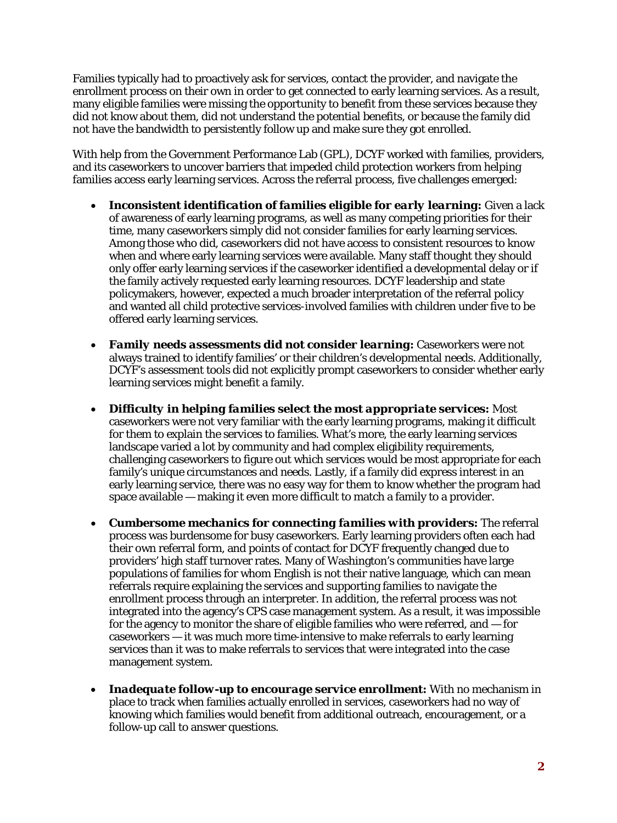Families typically had to proactively ask for services, contact the provider, and navigate the enrollment process on their own in order to get connected to early learning services. As a result, many eligible families were missing the opportunity to benefit from these services because they did not know about them, did not understand the potential benefits, or because the family did not have the bandwidth to persistently follow up and make sure they got enrolled.

With help from the Government Performance Lab (GPL), DCYF worked with families, providers, and its caseworkers to uncover barriers that impeded child protection workers from helping families access early learning services. Across the referral process, five challenges emerged:

- *Inconsistent identification of families eligible for early learning***:** Given a lack of awareness of early learning programs, as well as many competing priorities for their time, many caseworkers simply did not consider families for early learning services. Among those who did, caseworkers did not have access to consistent resources to know when and where early learning services were available. Many staff thought they should only offer early learning services if the caseworker identified a developmental delay or if the family actively requested early learning resources. DCYF leadership and state policymakers, however, expected a much broader interpretation of the referral policy and wanted all child protective services-involved families with children under five to be offered early learning services.
- *Family needs assessments did not consider learning:* Caseworkers were not always trained to identify families' or their children's developmental needs. Additionally, DCYF's assessment tools did not explicitly prompt caseworkers to consider whether early learning services might benefit a family.
- *Difficulty in helping families select the most appropriate services:* Most caseworkers were not very familiar with the early learning programs, making it difficult for them to explain the services to families. What's more, the early learning services landscape varied a lot by community and had complex eligibility requirements, challenging caseworkers to figure out which services would be most appropriate for each family's unique circumstances and needs. Lastly, if a family did express interest in an early learning service, there was no easy way for them to know whether the program had space available — making it even more difficult to match a family to a provider.
- *Cumbersome mechanics for connecting families with providers:* The referral process was burdensome for busy caseworkers. Early learning providers often each had their own referral form, and points of contact for DCYF frequently changed due to providers' high staff turnover rates. Many of Washington's communities have large populations of families for whom English is not their native language, which can mean referrals require explaining the services and supporting families to navigate the enrollment process through an interpreter. In addition, the referral process was not integrated into the agency's CPS case management system. As a result, it was impossible for the agency to monitor the share of eligible families who were referred, and  $-$  for caseworkers — it was much more time-intensive to make referrals to early learning services than it was to make referrals to services that were integrated into the case management system.
- *Inadequate follow-up to encourage service enrollment:* With no mechanism in place to track when families actually enrolled in services, caseworkers had no way of knowing which families would benefit from additional outreach, encouragement, or a follow-up call to answer questions.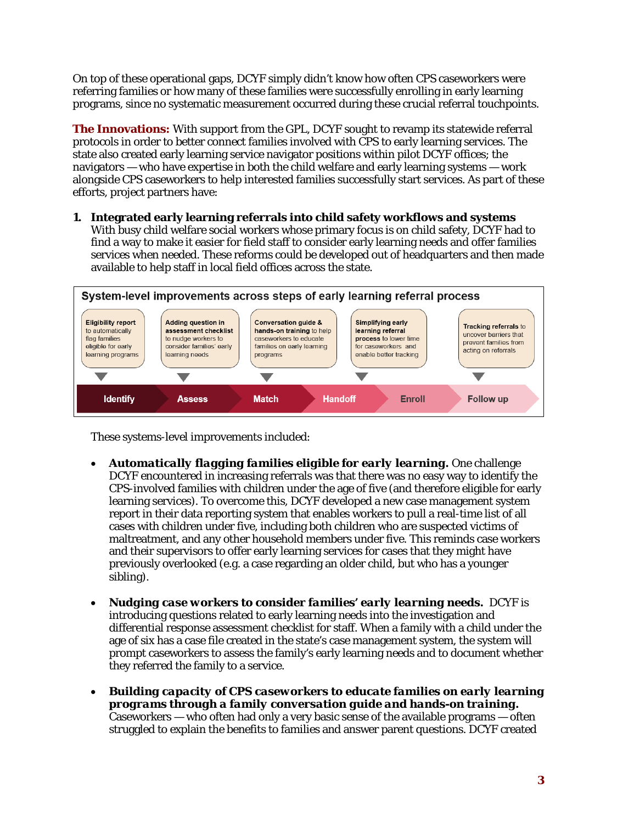On top of these operational gaps, DCYF simply didn't know how often CPS caseworkers were referring families or how many of these families were successfully enrolling in early learning programs, since no systematic measurement occurred during these crucial referral touchpoints.

**The Innovations:** With support from the GPL, DCYF sought to revamp its statewide referral protocols in order to better connect families involved with CPS to early learning services. The state also created early learning service navigator positions within pilot DCYF offices; the navigators — who have expertise in both the child welfare and early learning systems — work alongside CPS caseworkers to help interested families successfully start services. As part of these efforts, project partners have:

**1. Integrated early learning referrals into child safety workflows and systems** With busy child welfare social workers whose primary focus is on child safety, DCYF had to find a way to make it easier for field staff to consider early learning needs and offer families services when needed. These reforms could be developed out of headquarters and then made available to help staff in local field offices across the state.



These systems-level improvements included:

- *Automatically flagging families eligible for early learning.* One challenge DCYF encountered in increasing referrals was that there was no easy way to identify the CPS-involved families with children under the age of five (and therefore eligible for early learning services). To overcome this, DCYF developed a new case management system report in their data reporting system that enables workers to pull a real-time list of all cases with children under five, including both children who are suspected victims of maltreatment, and any other household members under five. This reminds case workers and their supervisors to offer early learning services for cases that they might have previously overlooked (e.g. a case regarding an older child, but who has a younger sibling).
- *Nudging case workers to consider families' early learning needs.* DCYF is introducing questions related to early learning needs into the investigation and differential response assessment checklist for staff. When a family with a child under the age of six has a case file created in the state's case management system, the system will prompt caseworkers to assess the family's early learning needs and to document whether they referred the family to a service.
- *Building capacity of CPS caseworkers to educate families on early learning programs through a family conversation guide and hands-on training.* Caseworkers — who often had only a very basic sense of the available programs — often struggled to explain the benefits to families and answer parent questions. DCYF created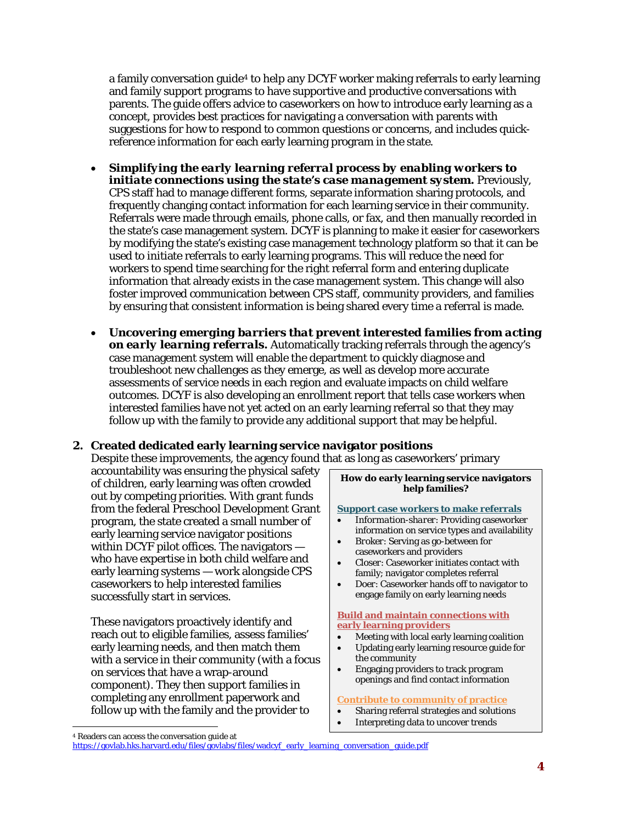a family conversation guide[4](#page-3-0) to help any DCYF worker making referrals to early learning and family support programs to have supportive and productive conversations with parents. The guide offers advice to caseworkers on how to introduce early learning as a concept, provides best practices for navigating a conversation with parents with suggestions for how to respond to common questions or concerns, and includes quickreference information for each early learning program in the state.

- *Simplifying the early learning referral process by enabling workers to initiate connections using the state's case management system***.** Previously, CPS staff had to manage different forms, separate information sharing protocols, and frequently changing contact information for each learning service in their community. Referrals were made through emails, phone calls, or fax, and then manually recorded in the state's case management system. DCYF is planning to make it easier for caseworkers by modifying the state's existing case management technology platform so that it can be used to initiate referrals to early learning programs. This will reduce the need for workers to spend time searching for the right referral form and entering duplicate information that already exists in the case management system. This change will also foster improved communication between CPS staff, community providers, and families by ensuring that consistent information is being shared every time a referral is made.
- *Uncovering emerging barriers that prevent interested families from acting on early learning referrals.* Automatically tracking referrals through the agency's case management system will enable the department to quickly diagnose and troubleshoot new challenges as they emerge, as well as develop more accurate assessments of service needs in each region and evaluate impacts on child welfare outcomes. DCYF is also developing an enrollment report that tells case workers when interested families have not yet acted on an early learning referral so that they may follow up with the family to provide any additional support that may be helpful.

#### **2. Created dedicated early learning service navigator positions**

Despite these improvements, the agency found that as long as caseworkers' primary

accountability was ensuring the physical safety of children, early learning was often crowded out by competing priorities. With grant funds from the federal Preschool Development Grant program, the state created a small number of early learning service navigator positions within DCYF pilot offices. The navigators who have expertise in both child welfare and early learning systems — work alongside CPS caseworkers to help interested families successfully start in services.

These navigators proactively identify and reach out to eligible families, assess families' early learning needs, and then match them with a service in their community (with a focus on services that have a wrap-around component). They then support families in completing any enrollment paperwork and follow up with the family and the provider to

**How do early learning service navigators help families?**

**Support case workers to make referrals** 

- *Information-sharer*: Providing caseworker information on service types and availability
- *Broker*: Serving as go-between for caseworkers and providers
- *Closer*: Caseworker initiates contact with family; navigator completes referral
- *Doer*: Caseworker hands off to navigator to engage family on early learning needs

**Build and maintain connections with early learning providers** 

- Meeting with local early learning coalition
- Updating early learning resource guide for the community
- Engaging providers to track program openings and find contact information

#### **Contribute to community of practice**

- Sharing referral strategies and solutions
- Interpreting data to uncover trends

 $\overline{a}$ 

<span id="page-3-0"></span><sup>4</sup> Readers can access the conversation guide at

[https://govlab.hks.harvard.edu/files/govlabs/files/wadcyf\\_early\\_learning\\_conversation\\_guide.pdf](https://govlab.hks.harvard.edu/files/govlabs/files/wadcyf_early_learning_conversation_guide.pdf)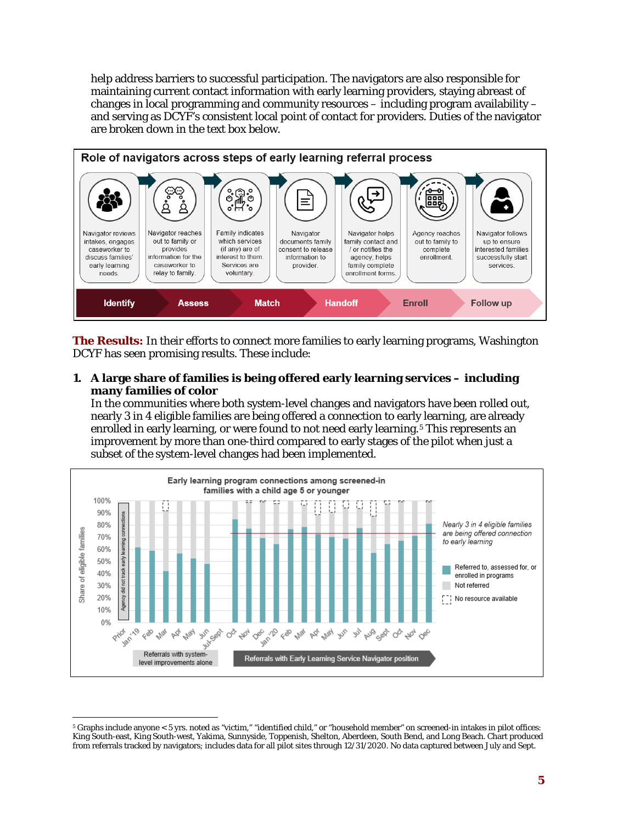help address barriers to successful participation. The navigators are also responsible for maintaining current contact information with early learning providers, staying abreast of changes in local programming and community resources – including program availability – and serving as DCYF's consistent local point of contact for providers. Duties of the navigator are broken down in the text box below.



**The Results:** In their efforts to connect more families to early learning programs, Washington DCYF has seen promising results. These include:

**1. A large share of families is being offered early learning services – including many families of color**

In the communities where both system-level changes and navigators have been rolled out, nearly 3 in 4 eligible families are being offered a connection to early learning, are already enrolled in early learning, or were found to not need early learning.<sup>[5](#page-4-0)</sup> This represents an improvement by more than one-third compared to early stages of the pilot when just a subset of the system-level changes had been implemented.



<span id="page-4-0"></span> $\overline{a}$ <sup>5</sup> Graphs include anyone < 5 yrs. noted as "victim," "identified child," or "household member" on screened-in intakes in pilot offices: King South-east, King South-west, Yakima, Sunnyside, Toppenish, Shelton, Aberdeen, South Bend, and Long Beach. Chart produced from referrals tracked by navigators; includes data for all pilot sites through 12/31/2020. No data captured between July and Sept.